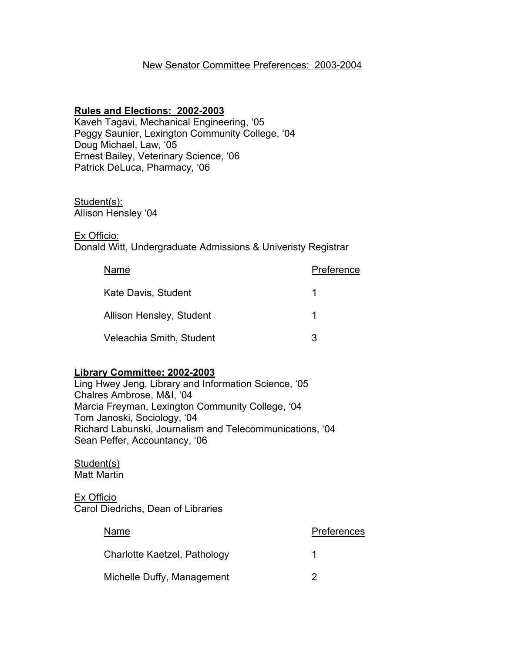## New Senator Committee Preferences: 2003-2004

#### **Rules and Elections: 2002-2003**

Kaveh Tagavi, Mechanical Engineering, '05 Peggy Saunier, Lexington Community College, '04 Doug Michael, Law, '05 Ernest Bailey, Veterinary Science, '06 Patrick DeLuca, Pharmacy, '06

# Student(s):

Allison Hensley '04

#### Ex Officio:

Donald Witt, Undergraduate Admissions & Univeristy Registrar

| Name                     | Preference |
|--------------------------|------------|
| Kate Davis, Student      |            |
| Allison Hensley, Student |            |
| Veleachia Smith, Student | З          |

#### **Library Committee: 2002-2003**

Ling Hwey Jeng, Library and Information Science, '05 Chalres Ambrose, M&I, '04 Marcia Freyman, Lexington Community College, '04 Tom Janoski, Sociology, '04 Richard Labunski, Journalism and Telecommunications, '04 Sean Peffer, Accountancy, '06

#### Student(s) Matt Martin

Ex Officio Carol Diedrichs, Dean of Libraries

| Name                         | Preferences |
|------------------------------|-------------|
| Charlotte Kaetzel, Pathology |             |
| Michelle Duffy, Management   |             |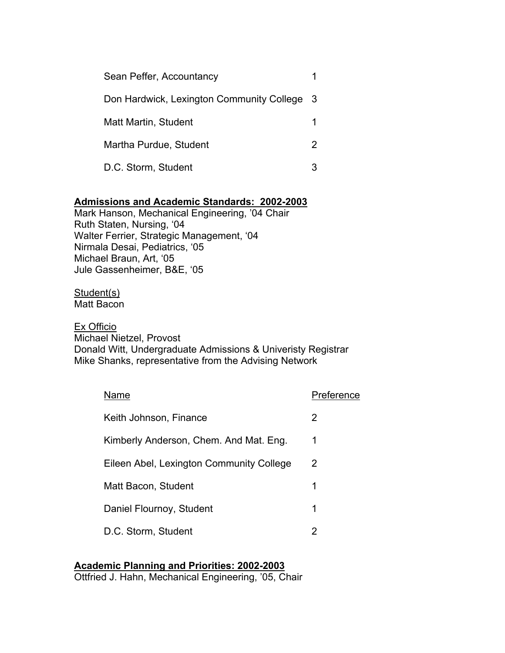| Sean Peffer, Accountancy                    |  |
|---------------------------------------------|--|
| Don Hardwick, Lexington Community College 3 |  |
| <b>Matt Martin, Student</b>                 |  |
| Martha Purdue, Student                      |  |
| D.C. Storm, Student                         |  |

## **Admissions and Academic Standards: 2002-2003**

Mark Hanson, Mechanical Engineering, '04 Chair Ruth Staten, Nursing, '04 Walter Ferrier, Strategic Management, '04 Nirmala Desai, Pediatrics, '05 Michael Braun, Art, '05 Jule Gassenheimer, B&E, '05

Student(s) Matt Bacon

#### Ex Officio

Michael Nietzel, Provost Donald Witt, Undergraduate Admissions & Univeristy Registrar Mike Shanks, representative from the Advising Network

| Name                                     | Preference |
|------------------------------------------|------------|
| Keith Johnson, Finance                   | 2          |
| Kimberly Anderson, Chem. And Mat. Eng.   | 1          |
| Eileen Abel, Lexington Community College | 2          |
| Matt Bacon, Student                      | 1          |
| Daniel Flournoy, Student                 | 1          |
| D.C. Storm, Student                      | 2          |

## **Academic Planning and Priorities: 2002-2003**

Ottfried J. Hahn, Mechanical Engineering, '05, Chair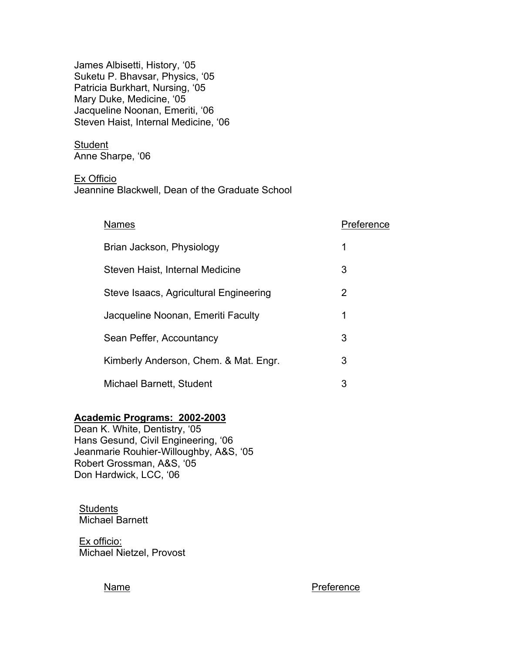James Albisetti, History, '05 Suketu P. Bhavsar, Physics, '05 Patricia Burkhart, Nursing, '05 Mary Duke, Medicine, '05 Jacqueline Noonan, Emeriti, '06 Steven Haist, Internal Medicine, '06

**Student** Anne Sharpe, '06

Ex Officio

Jeannine Blackwell, Dean of the Graduate School

| <b>Names</b>                           | Preference |
|----------------------------------------|------------|
| Brian Jackson, Physiology              | 1          |
| Steven Haist, Internal Medicine        | 3          |
| Steve Isaacs, Agricultural Engineering | 2          |
| Jacqueline Noonan, Emeriti Faculty     | 1          |
| Sean Peffer, Accountancy               | 3          |
| Kimberly Anderson, Chem. & Mat. Engr.  | 3          |
| Michael Barnett, Student               | 3          |

## **Academic Programs: 2002-2003**

Dean K. White, Dentistry, '05 Hans Gesund, Civil Engineering, '06 Jeanmarie Rouhier-Willoughby, A&S, '05 Robert Grossman, A&S, '05 Don Hardwick, LCC, '06

**Students** Michael Barnett

Ex officio: Michael Nietzel, Provost

Name Preference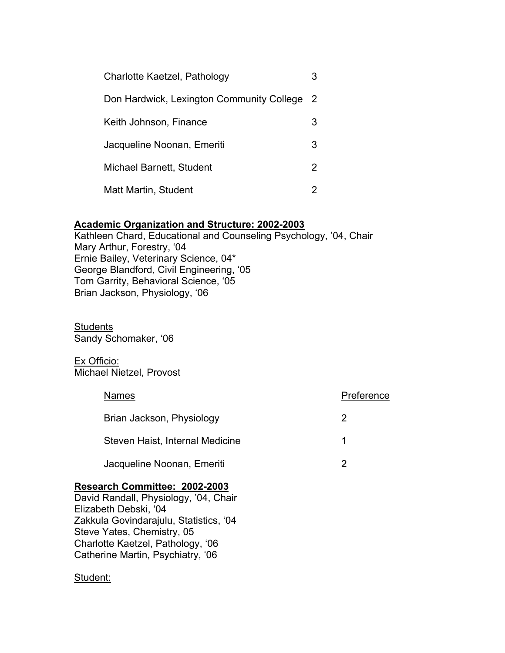| Charlotte Kaetzel, Pathology              |    |
|-------------------------------------------|----|
| Don Hardwick, Lexington Community College | -2 |
| Keith Johnson, Finance                    | 3  |
| Jacqueline Noonan, Emeriti                | З  |
| Michael Barnett, Student                  | 2  |
| Matt Martin, Student                      |    |

## **Academic Organization and Structure: 2002-2003**

Kathleen Chard, Educational and Counseling Psychology, '04, Chair Mary Arthur, Forestry, '04 Ernie Bailey, Veterinary Science, 04\* George Blandford, Civil Engineering, '05 Tom Garrity, Behavioral Science, '05 Brian Jackson, Physiology, '06

**Students** Sandy Schomaker, '06

Ex Officio: Michael Nietzel, Provost

| <b>Names</b>                    | Preference |
|---------------------------------|------------|
| Brian Jackson, Physiology       | 2          |
| Steven Haist, Internal Medicine |            |
| Jacqueline Noonan, Emeriti      | 2          |
|                                 |            |

#### **Research Committee: 2002-2003**

David Randall, Physiology, '04, Chair Elizabeth Debski, '04 Zakkula Govindarajulu, Statistics, '04 Steve Yates, Chemistry, 05 Charlotte Kaetzel, Pathology, '06 Catherine Martin, Psychiatry, '06

## Student: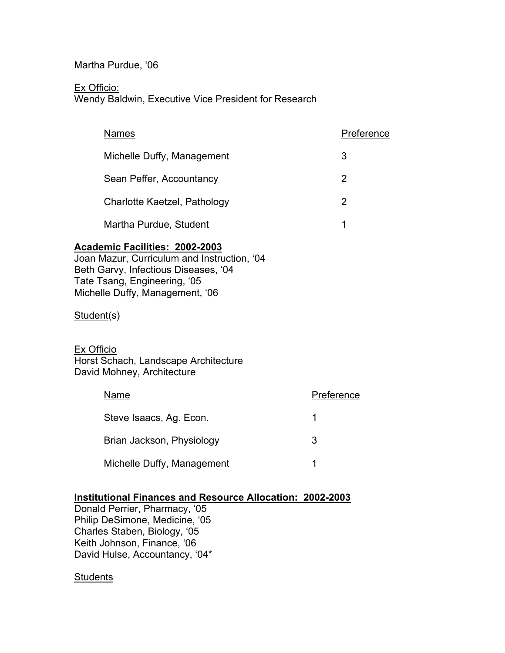Martha Purdue, '06

Ex Officio:

Wendy Baldwin, Executive Vice President for Research

| <b>Names</b>                 | Preference |
|------------------------------|------------|
| Michelle Duffy, Management   | 3          |
| Sean Peffer, Accountancy     | 2          |
| Charlotte Kaetzel, Pathology | 2          |
| Martha Purdue, Student       |            |

## **Academic Facilities: 2002-2003**

Joan Mazur, Curriculum and Instruction, '04 Beth Garvy, Infectious Diseases, '04 Tate Tsang, Engineering, '05 Michelle Duffy, Management, '06

Student(s)

Ex Officio

Horst Schach, Landscape Architecture David Mohney, Architecture

| Name                       | Preference |
|----------------------------|------------|
| Steve Isaacs, Ag. Econ.    |            |
| Brian Jackson, Physiology  | З          |
| Michelle Duffy, Management |            |

#### **Institutional Finances and Resource Allocation: 2002-2003**

Donald Perrier, Pharmacy, '05 Philip DeSimone, Medicine, '05 Charles Staben, Biology, '05 Keith Johnson, Finance, '06 David Hulse, Accountancy, '04\*

#### **Students**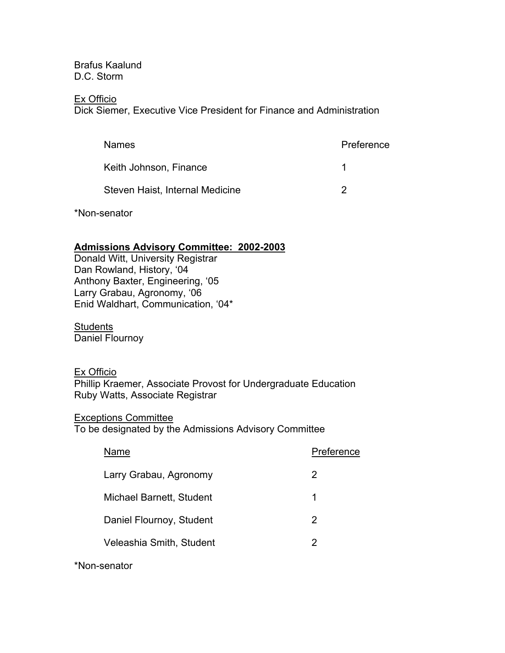Brafus Kaalund D.C. Storm

#### Ex Officio

Dick Siemer, Executive Vice President for Finance and Administration

| <b>Names</b>                    | Preference |
|---------------------------------|------------|
| Keith Johnson, Finance          |            |
| Steven Haist, Internal Medicine |            |

\*Non-senator

## **Admissions Advisory Committee: 2002-2003**

Donald Witt, University Registrar Dan Rowland, History, '04 Anthony Baxter, Engineering, '05 Larry Grabau, Agronomy, '06 Enid Waldhart, Communication, '04\*

**Students** Daniel Flournoy

Ex Officio Phillip Kraemer, Associate Provost for Undergraduate Education Ruby Watts, Associate Registrar

Exceptions Committee To be designated by the Admissions Advisory Committee

| Name                            | Preference |
|---------------------------------|------------|
| Larry Grabau, Agronomy          | 2          |
| <b>Michael Barnett, Student</b> | 1          |
| Daniel Flournoy, Student        | 2          |
| Veleashia Smith, Student        | 2          |
|                                 |            |

\*Non-senator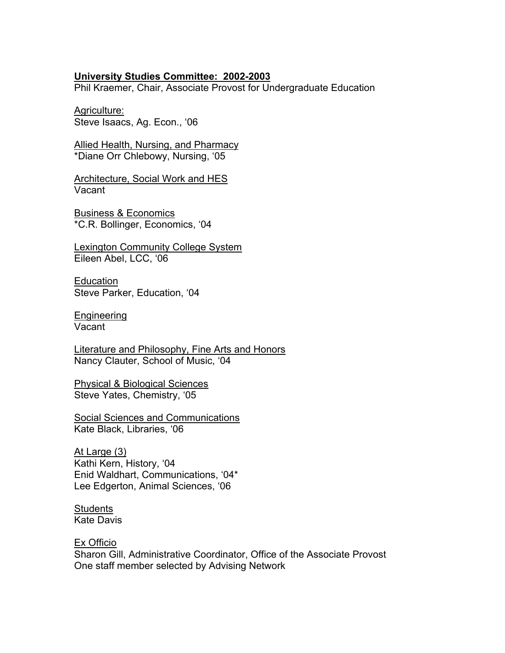#### **University Studies Committee: 2002-2003**

Phil Kraemer, Chair, Associate Provost for Undergraduate Education

Agriculture: Steve Isaacs, Ag. Econ., '06

**Allied Health, Nursing, and Pharmacy** \*Diane Orr Chlebowy, Nursing, '05

Architecture, Social Work and HES Vacant

Business & Economics \*C.R. Bollinger, Economics, '04

Lexington Community College System Eileen Abel, LCC, '06

**Education** Steve Parker, Education, '04

Engineering Vacant

Literature and Philosophy, Fine Arts and Honors Nancy Clauter, School of Music, '04

Physical & Biological Sciences Steve Yates, Chemistry, '05

Social Sciences and Communications Kate Black, Libraries, '06

At Large (3) Kathi Kern, History, '04 Enid Waldhart, Communications, '04\* Lee Edgerton, Animal Sciences, '06

**Students** Kate Davis

Ex Officio Sharon Gill, Administrative Coordinator, Office of the Associate Provost One staff member selected by Advising Network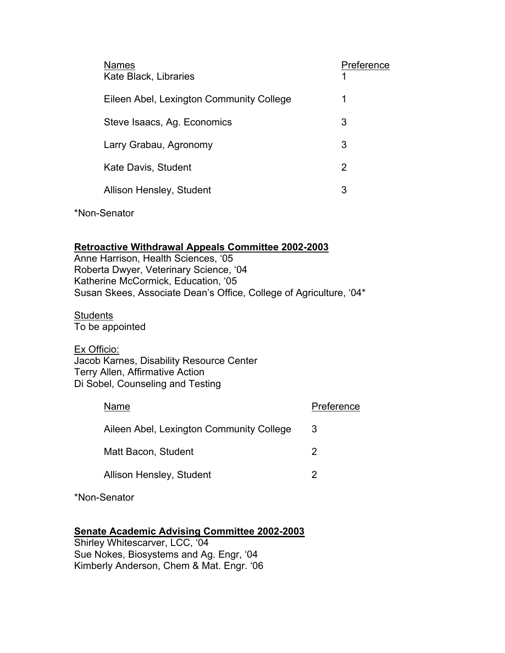| <b>Names</b><br>Kate Black, Libraries    | Preference |
|------------------------------------------|------------|
| Eileen Abel, Lexington Community College | 1          |
| Steve Isaacs, Ag. Economics              | 3          |
| Larry Grabau, Agronomy                   | 3          |
| Kate Davis, Student                      | 2          |
| Allison Hensley, Student                 | 3          |
|                                          |            |

\*Non-Senator

## **Retroactive Withdrawal Appeals Committee 2002-2003**

Anne Harrison, Health Sciences, '05 Roberta Dwyer, Veterinary Science, '04 Katherine McCormick, Education, '05 Susan Skees, Associate Dean's Office, College of Agriculture, '04\*

**Students** 

To be appointed

Ex Officio: Jacob Karnes, Disability Resource Center Terry Allen, Affirmative Action Di Sobel, Counseling and Testing

| Name                                     | Preference |
|------------------------------------------|------------|
| Aileen Abel, Lexington Community College | 3          |
| Matt Bacon, Student                      | 2          |
| Allison Hensley, Student                 |            |
|                                          |            |

\*Non-Senator

## **Senate Academic Advising Committee 2002-2003**

Shirley Whitescarver, LCC, '04 Sue Nokes, Biosystems and Ag. Engr, '04 Kimberly Anderson, Chem & Mat. Engr. '06